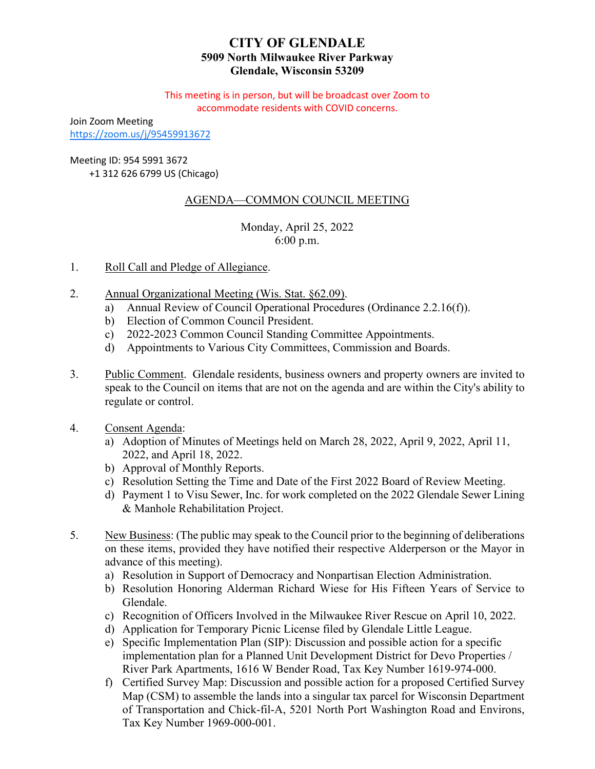# **CITY OF GLENDALE 5909 North Milwaukee River Parkway Glendale, Wisconsin 53209**

This meeting is in person, but will be broadcast over Zoom to accommodate residents with COVID concerns.

Join Zoom Meeting <https://zoom.us/j/95459913672>

Meeting ID: 954 5991 3672

+1 312 626 6799 US (Chicago)

# AGENDA—COMMON COUNCIL MEETING

Monday, April 25, 2022 6:00 p.m.

- 1. Roll Call and Pledge of Allegiance.
- 2. Annual Organizational Meeting (Wis. Stat. §62.09).
	- a) Annual Review of Council Operational Procedures (Ordinance 2.2.16(f)).
	- b) Election of Common Council President.
	- c) 2022-2023 Common Council Standing Committee Appointments.
	- [d\) Appointments to Various City Committees, Commission and Boards.](#page-2-0)
- 3. Public Comment. Glendale residents, business owners and property owners are invited to speak to the Council on items that are not on the agenda and are within the City's ability to regulate or control.
- 4. Consent Agenda:
	- a) [Adoption of Minutes of Meetings held on March 28, 2022, April 9, 2022, April 11,](#page-3-0) 2022, and April 18, 2022.
	- b) Approval of Monthly Reports.
	- c) Resolution Setting the Time and Date of the First 2022 Board of Review Meeting.
	- d) Payment 1 to Visu Sewer, Inc. for work completed on the 2022 Glendale Sewer Lining & Manhole Rehabilitation Project.
- 5. New Business: (The public may speak to the Council prior to the beginning of deliberations on these items, provided they have notified their respective Alderperson or the Mayor in advance of this meeting).
	- a) [Resolution in Support of Democracy and Nonpartisan Election Administration.](#page-4-0)
	- [b\) Resolution Honoring Alderman Richard Wiese for His Fifteen Years of Service to](#page-5-0) Glendale.
	- c) [Recognition of Officers Involved in the Milwaukee River Rescue on April 10, 2022.](#page-6-0)
	- d) [Application for Temporary Picnic License filed by Glendale Little League.](#page-8-0)
	- e) Specific Implementation Plan (SIP): Discussion and possible action for a specific [implementation plan for a Planned Unit Development District for Devo Properties /](#page-9-0) River Park Apartments, 1616 W Bender Road, Tax Key Number 1619-974-000.
	- f) Certified Survey Map: Discussion and possible action for a proposed Certified Survey Map (CSM) to assemble the lands into a singular tax parcel for Wisconsin Department [of Transportation and Chick-fil-A, 5201 North Port Washington Road and Environs,](#page-11-0) Tax Key Number 1969-000-001.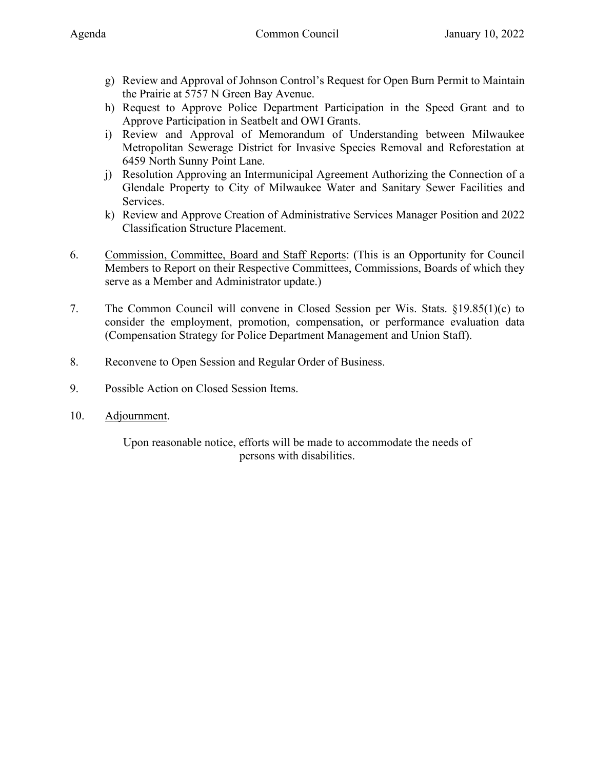- g) [Review and Approval of Johnson Control's Request for Open Burn Permit to Maintain](#page-12-0) the Prairie at 5757 N Green Bay Avenue.
- h) [Request to Approve Police Department Participation in the Speed Grant and to](#page-13-0) Approve Participation in Seatbelt and OWI Grants.
- i) Review and Approval of Memorandum of Understanding between Milwaukee [Metropolitan Sewerage District for Invasive Species Removal and Reforestation at](#page-14-0) 6459 North Sunny Point Lane.
- j) Resolution Approving an Intermunicipal Agreement Authorizing the Connection of a [Glendale Property to City of Milwaukee Water and Sanitary Sewer Facilities and](#page-15-0) Services.
- k) [Review and Approve Creation of Administrative Services Manager Position and 2022](#page-16-0) Classification Structure Placement.
- 6. Commission, Committee, Board and Staff Reports: (This is an Opportunity for Council Members to Report on their Respective Committees, Commissions, Boards of which they serve as a Member and Administrator update.)
- 7. The Common Council will convene in Closed Session per Wis. Stats. §19.85(1)(c) to consider the employment, promotion, compensation, or performance evaluation data (Compensation Strategy for Police Department Management and Union Staff).
- 8. Reconvene to Open Session and Regular Order of Business.
- 9. Possible Action on Closed Session Items.
- 10. Adjournment.

Upon reasonable notice, efforts will be made to accommodate the needs of persons with disabilities.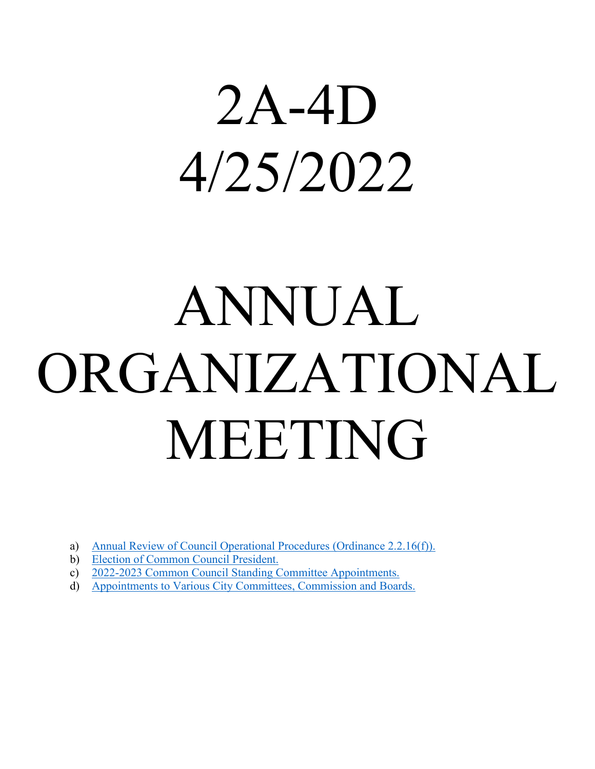# <span id="page-2-0"></span>2A-4D 4/25/2022

# ANNUAL ORGANIZATIONAL MEETING

- a) [Annual Review of Council Operational Procedures \(Ordinance 2.2.16\(f\)\).](https://www.glendale-wi.org/DocumentCenter/View/2586/Ordinance)
- b) [Election of Common Council President.](https://www.glendale-wi.org/DocumentCenter/View/2587/Memo---Election-of-Common-Council-President)
- c) [2022-2023 Common Council Standing Committee Appointments.](https://www.glendale-wi.org/DocumentCenter/View/2581/Standing-Committees)
- d) [Appointments to Various City Committees, Commission and Boards.](https://www.glendale-wi.org/DocumentCenter/View/2569/Appointments-to-Various-Committees)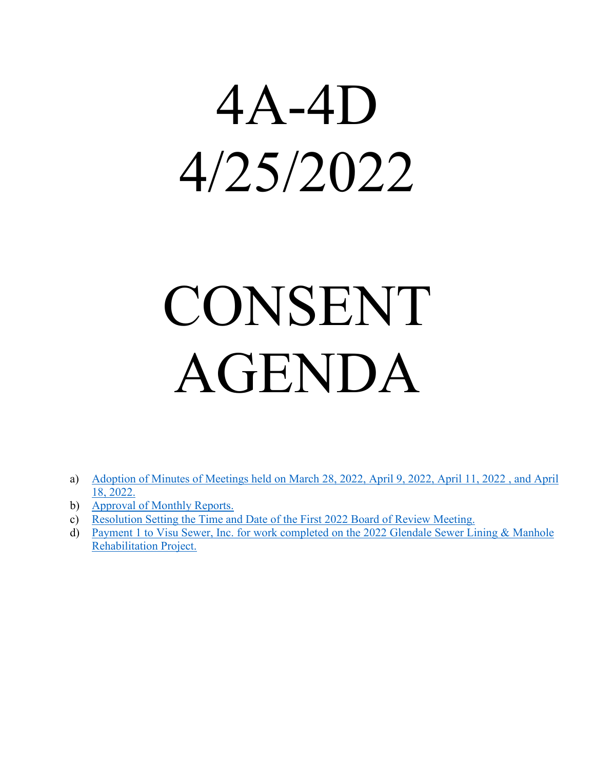# <span id="page-3-0"></span>4A-4D 4/25/2022

# CONSENT AGENDA

- a) [Adoption of Minutes of Meetings held on March 28, 2022, April 9, 2022, April 11, 2022 , and April](https://www.glendale-wi.org/DocumentCenter/View/2585/Council-Minutes-Set) [18, 2022.](https://www.glendale-wi.org/DocumentCenter/View/2585/Council-Minutes-Set)
- b) [Approval of Monthly Reports.](https://www.glendale-wi.org/DocumentCenter/View/2567/March-2022-for-Common-Council)
- c) [Resolution Setting the Time and Date of the First 2022 Board of Review Meeting.](https://www.glendale-wi.org/DocumentCenter/View/2572/BOR-Resolution)
- d) [Payment 1 to Visu Sewer, Inc. for work completed on the 2022 Glendale Sewer Lining & Manhole](https://www.glendale-wi.org/DocumentCenter/View/2583/Memo---2022-Visu-Sewer-Inc-2022-Sewer-Lining-and-Manhole-Rehabilitation-Project---Payment-1) [Rehabilitation Project.](https://www.glendale-wi.org/DocumentCenter/View/2583/Memo---2022-Visu-Sewer-Inc-2022-Sewer-Lining-and-Manhole-Rehabilitation-Project---Payment-1)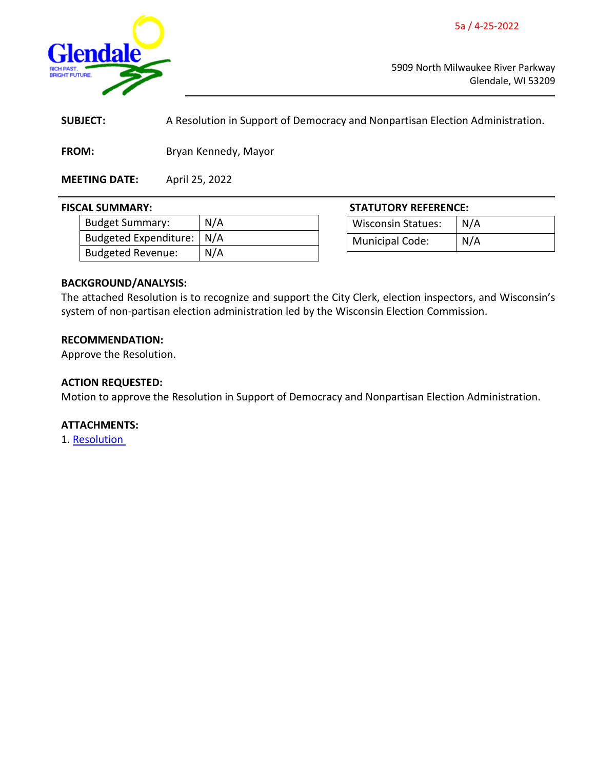5a / 4-25-2022

<span id="page-4-0"></span>

5909 North Milwaukee River Parkway Glendale, WI 53209

**SUBJECT:** A Resolution in Support of Democracy and Nonpartisan Election Administration.

**FROM:** Bryan Kennedy, Mayor

**MEETING DATE:** April 25, 2022

| <b>Budget Summary:</b>      | N/A |
|-----------------------------|-----|
| Budgeted Expenditure:   N/A |     |
| <b>Budgeted Revenue:</b>    | N/A |

**FISCAL SUMMARY: STATUTORY REFERENCE:** Wisconsin Statues: | N/A Municipal Code: N/A

# **BACKGROUND/ANALYSIS:**

The attached Resolution is to recognize and support the City Clerk, election inspectors, and Wisconsin's system of non-partisan election administration led by the Wisconsin Election Commission.

# **RECOMMENDATION:**

Approve the Resolution.

#### **ACTION REQUESTED:**

Motion to approve the Resolution in Support of Democracy and Nonpartisan Election Administration.

# **ATTACHMENTS:**

1. [Resolution](https://www.glendale-wi.org/DocumentCenter/View/2579/Resolution-for-Nonpartisan-Election-Administration)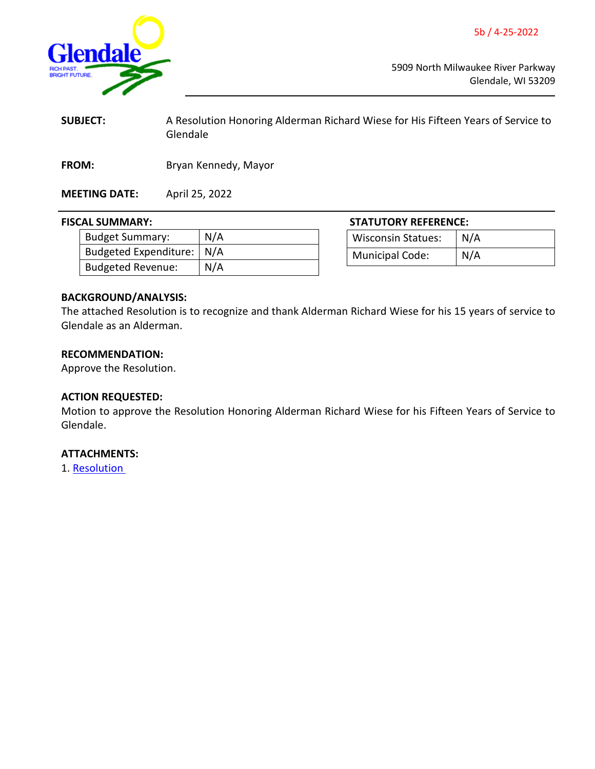5b / 4-25-2022

<span id="page-5-0"></span>

5909 North Milwaukee River Parkway Glendale, WI 53209

| <b>SUBJECT:</b> | A Resolution Honoring Alderman Richard Wiese for His Fifteen Years of Service to |
|-----------------|----------------------------------------------------------------------------------|
|                 | Glendale                                                                         |
|                 |                                                                                  |

**FROM:** Bryan Kennedy, Mayor

**MEETING DATE:** April 25, 2022

#### **FISCAL SUMMARY: STATUTORY REFERENCE:**

| <b>Budget Summary:</b>      | N/A |
|-----------------------------|-----|
| Budgeted Expenditure:   N/A |     |
| <b>Budgeted Revenue:</b>    | N/A |

Wisconsin Statues: N/A

| vvistomsin statues.    | $\mathbf{N}$ |
|------------------------|--------------|
| <b>Municipal Code:</b> | N/A          |

# **BACKGROUND/ANALYSIS:**

The attached Resolution is to recognize and thank Alderman Richard Wiese for his 15 years of service to Glendale as an Alderman.

# **RECOMMENDATION:**

Approve the Resolution.

# **ACTION REQUESTED:**

Motion to approve the Resolution Honoring Alderman Richard Wiese for his Fifteen Years of Service to Glendale.

# **ATTACHMENTS:**

1. [Resolution](https://www.glendale-wi.org/DocumentCenter/View/2578/Resolution-for-Ald-Wiese)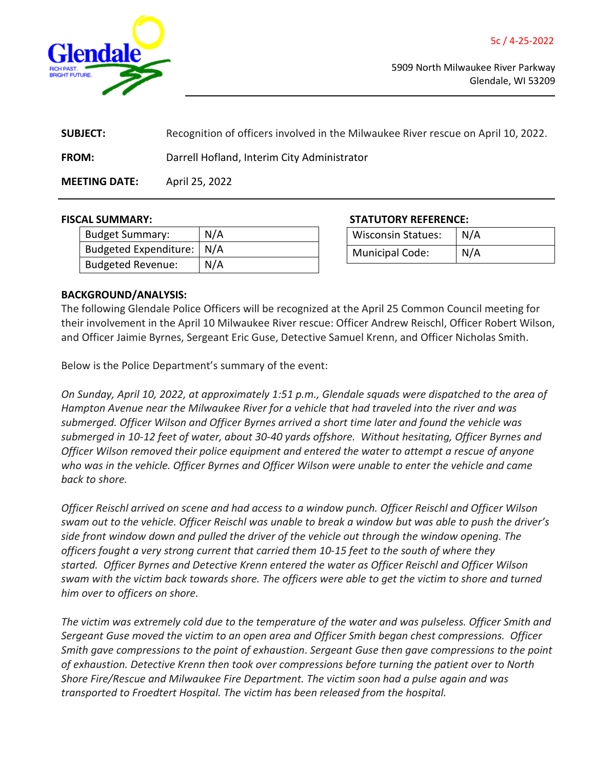<span id="page-6-0"></span>

| <b>SUBJECT:</b>      | Recognition of officers involved in the Milwaukee River rescue on April 10, 2022. |
|----------------------|-----------------------------------------------------------------------------------|
| <b>FROM:</b>         | Darrell Hofland, Interim City Administrator                                       |
| <b>MEETING DATE:</b> | April 25, 2022                                                                    |

| <b>Budget Summary:</b>      | N/A |
|-----------------------------|-----|
| Budgeted Expenditure:   N/A |     |
| <b>Budgeted Revenue:</b>    | N/A |

**FISCAL SUMMARY: STATUTORY REFERENCE:**

| <b>Wisconsin Statues:</b> | N/A |
|---------------------------|-----|
| <b>Municipal Code:</b>    | N/A |

# **BACKGROUND/ANALYSIS:**

The following Glendale Police Officers will be recognized at the April 25 Common Council meeting for their involvement in the April 10 Milwaukee River rescue: Officer Andrew Reischl, Officer Robert Wilson, and Officer Jaimie Byrnes, Sergeant Eric Guse, Detective Samuel Krenn, and Officer Nicholas Smith.

Below is the Police Department's summary of the event:

*On Sunday, April 10, 2022, at approximately 1:51 p.m., Glendale squads were dispatched to the area of Hampton Avenue near the Milwaukee River for a vehicle that had traveled into the river and was submerged. Officer Wilson and Officer Byrnes arrived a short time later and found the vehicle was submerged in 10-12 feet of water, about 30-40 yards offshore. Without hesitating, Officer Byrnes and Officer Wilson removed their police equipment and entered the water to attempt a rescue of anyone who was in the vehicle. Officer Byrnes and Officer Wilson were unable to enter the vehicle and came back to shore.*

*Officer Reischl arrived on scene and had access to a window punch. Officer Reischl and Officer Wilson swam out to the vehicle. Officer Reischl was unable to break a window but was able to push the driver's side front window down and pulled the driver of the vehicle out through the window opening. The officers fought a very strong current that carried them 10-15 feet to the south of where they started. Officer Byrnes and Detective Krenn entered the water as Officer Reischl and Officer Wilson* swam with the victim back towards shore. The officers were able to get the victim to shore and turned *him over to officers on shore.*

The victim was extremely cold due to the temperature of the water and was pulseless. Officer Smith and *Sergeant Guse moved the victim to an open area and Officer Smith began chest compressions. Officer Smith gave compressions to the point of exhaustion*. *Sergeant Guse then gave compressions to the point of exhaustion. Detective Krenn then took over compressions before turning the patient over to North Shore Fire/Rescue and Milwaukee Fire Department. The victim soon had a pulse again and was transported to Froedtert Hospital. The victim has been released from the hospital.*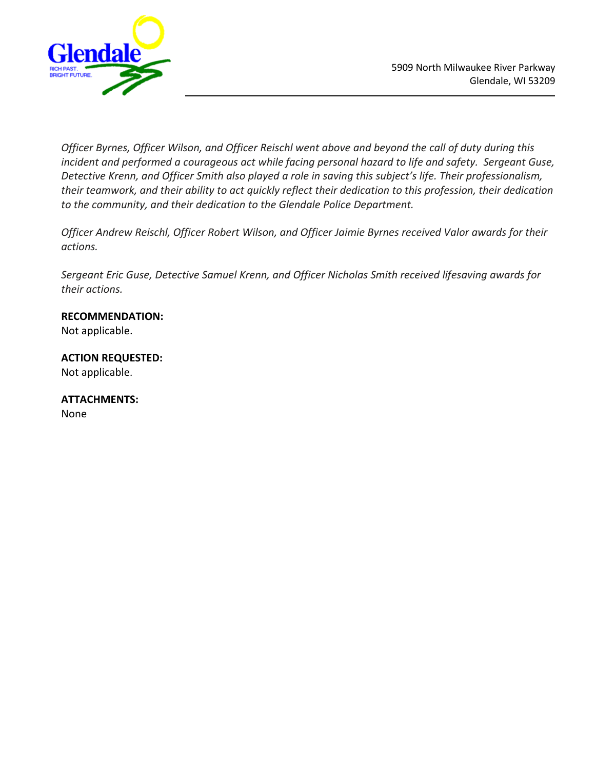



*Officer Byrnes, Officer Wilson, and Officer Reischl went above and beyond the call of duty during this incident and performed a courageous act while facing personal hazard to life and safety. Sergeant Guse, Detective Krenn, and Officer Smith also played a role in saving this subject's life. Their professionalism, their teamwork, and their ability to act quickly reflect their dedication to this profession, their dedication to the community, and their dedication to the Glendale Police Department.*

*Officer Andrew Reischl, Officer Robert Wilson, and Officer Jaimie Byrnes received Valor awards for their actions.*

*Sergeant Eric Guse, Detective Samuel Krenn, and Officer Nicholas Smith received lifesaving awards for their actions.*

# **RECOMMENDATION:**

Not applicable.

# **ACTION REQUESTED:**

Not applicable.

# **ATTACHMENTS:**

None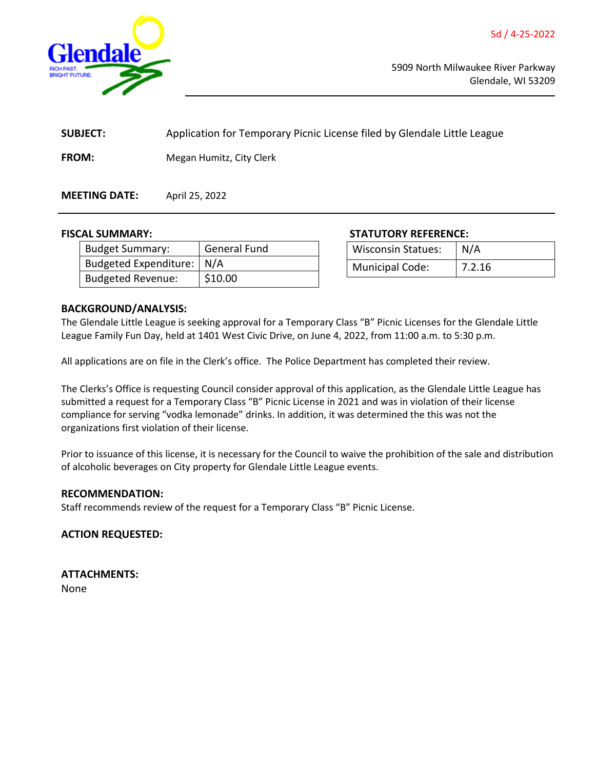<span id="page-8-0"></span>

| <b>SUBJECT:</b> | Application for Temporary Picnic License filed by Glendale Little League |  |
|-----------------|--------------------------------------------------------------------------|--|
| <b>FROM:</b>    | Megan Humitz, City Clerk                                                 |  |

**MEETING DATE:** April 25, 2022

| Budget Summary:           | <b>General Fund</b> |
|---------------------------|---------------------|
| Budgeted Expenditure: N/A |                     |
| <b>Budgeted Revenue:</b>  | \$10.00             |

**FISCAL SUMMARY: STATUTORY REFERENCE:**

| <b>Wisconsin Statues:</b> | N/A    |
|---------------------------|--------|
| <b>Municipal Code:</b>    | 7.2.16 |

# **BACKGROUND/ANALYSIS:**

The Glendale Little League is seeking approval for a Temporary Class "B" Picnic Licenses for the Glendale Little League Family Fun Day, held at 1401 West Civic Drive, on June 4, 2022, from 11:00 a.m. to 5:30 p.m.

All applications are on file in the Clerk's office. The Police Department has completed their review.

The Clerks's Office is requesting Council consider approval of this application, as the Glendale Little League has submitted a request for a Temporary Class "B" Picnic License in 2021 and was in violation of their license compliance for serving "vodka lemonade" drinks. In addition, it was determined the this was not the organizations first violation of their license.

Prior to issuance of this license, it is necessary for the Council to waive the prohibition of the sale and distribution of alcoholic beverages on City property for Glendale Little League events.

# **RECOMMENDATION:**

Staff recommends review of the request for a Temporary Class "B" Picnic License.

**ACTION REQUESTED:**

**ATTACHMENTS:** None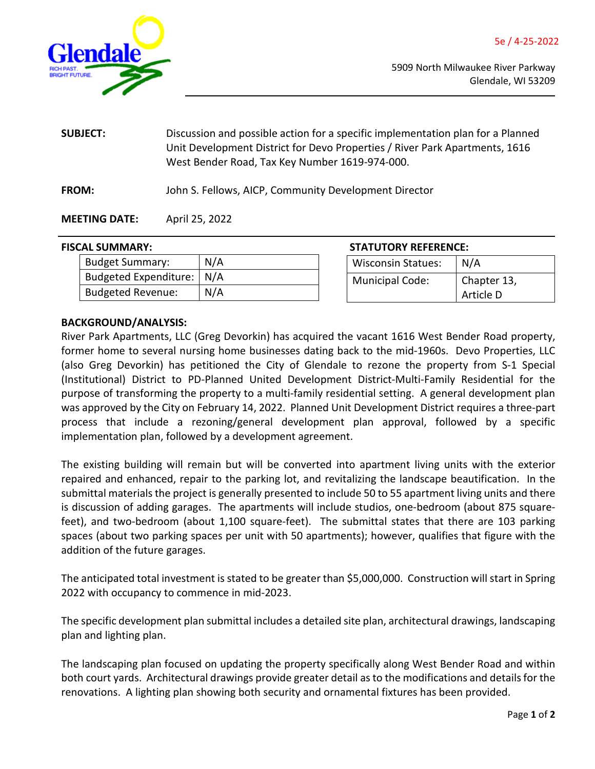<span id="page-9-0"></span>

**SUBJECT:** Discussion and possible action for a specific implementation plan for a Planned Unit Development District for Devo Properties / River Park Apartments, 1616 West Bender Road, Tax Key Number 1619-974-000. **FROM:** John S. Fellows, AICP, Community Development Director

# **MEETING DATE:** April 25, 2022

#### **FISCAL SUMMARY:**

| <b>Budget Summary:</b>      | N/A |
|-----------------------------|-----|
| Budgeted Expenditure:   N/A |     |
| <b>Budgeted Revenue:</b>    | N/A |

| <b>STATUTORY REFERENCE:</b> |                          |
|-----------------------------|--------------------------|
| <b>Wisconsin Statues:</b>   | N/A                      |
| <b>Municipal Code:</b>      | Chapter 13,<br>Article D |

# **BACKGROUND/ANALYSIS:**

River Park Apartments, LLC (Greg Devorkin) has acquired the vacant 1616 West Bender Road property, former home to several nursing home businesses dating back to the mid-1960s. Devo Properties, LLC (also Greg Devorkin) has petitioned the City of Glendale to rezone the property from S-1 Special (Institutional) District to PD-Planned United Development District-Multi-Family Residential for the purpose of transforming the property to a multi-family residential setting. A general development plan was approved by the City on February 14, 2022. Planned Unit Development District requires a three-part process that include a rezoning/general development plan approval, followed by a specific implementation plan, followed by a development agreement.

The existing building will remain but will be converted into apartment living units with the exterior repaired and enhanced, repair to the parking lot, and revitalizing the landscape beautification. In the submittal materials the project is generally presented to include 50 to 55 apartment living units and there is discussion of adding garages. The apartments will include studios, one-bedroom (about 875 squarefeet), and two-bedroom (about 1,100 square-feet). The submittal states that there are 103 parking spaces (about two parking spaces per unit with 50 apartments); however, qualifies that figure with the addition of the future garages.

The anticipated total investment is stated to be greater than \$5,000,000. Construction will start in Spring 2022 with occupancy to commence in mid-2023.

The specific development plan submittal includes a detailed site plan, architectural drawings, landscaping plan and lighting plan.

The landscaping plan focused on updating the property specifically along West Bender Road and within both court yards. Architectural drawings provide greater detail as to the modifications and details for the renovations. A lighting plan showing both security and ornamental fixtures has been provided.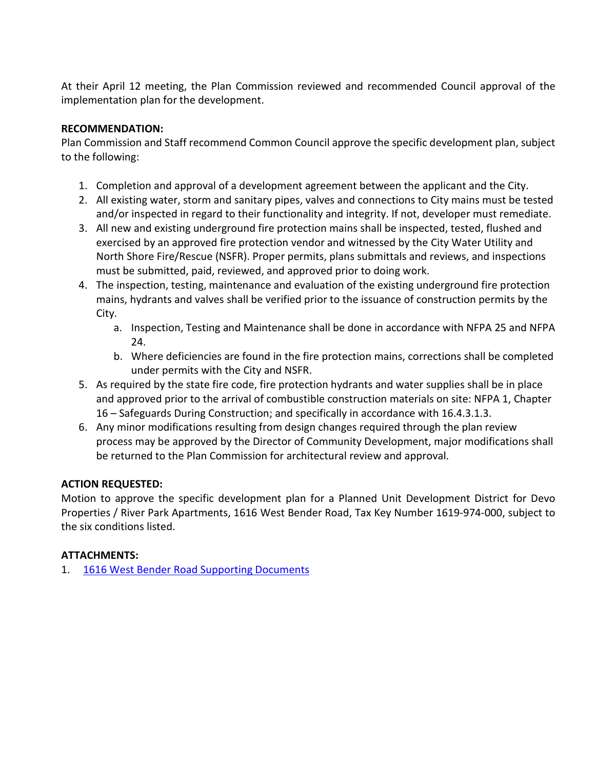At their April 12 meeting, the Plan Commission reviewed and recommended Council approval of the implementation plan for the development.

# **RECOMMENDATION:**

Plan Commission and Staff recommend Common Council approve the specific development plan, subject to the following:

- 1. Completion and approval of a development agreement between the applicant and the City.
- 2. All existing water, storm and sanitary pipes, valves and connections to City mains must be tested and/or inspected in regard to their functionality and integrity. If not, developer must remediate.
- 3. All new and existing underground fire protection mains shall be inspected, tested, flushed and exercised by an approved fire protection vendor and witnessed by the City Water Utility and North Shore Fire/Rescue (NSFR). Proper permits, plans submittals and reviews, and inspections must be submitted, paid, reviewed, and approved prior to doing work.
- 4. The inspection, testing, maintenance and evaluation of the existing underground fire protection mains, hydrants and valves shall be verified prior to the issuance of construction permits by the City.
	- a. Inspection, Testing and Maintenance shall be done in accordance with NFPA 25 and NFPA 24.
	- b. Where deficiencies are found in the fire protection mains, corrections shall be completed under permits with the City and NSFR.
- 5. As required by the state fire code, fire protection hydrants and water supplies shall be in place and approved prior to the arrival of combustible construction materials on site: NFPA 1, Chapter 16 – Safeguards During Construction; and specifically in accordance with 16.4.3.1.3.
- 6. Any minor modifications resulting from design changes required through the plan review process may be approved by the Director of Community Development, major modifications shall be returned to the Plan Commission for architectural review and approval.

# **ACTION REQUESTED:**

Motion to approve the specific development plan for a Planned Unit Development District for Devo Properties / River Park Apartments, 1616 West Bender Road, Tax Key Number 1619-974-000, subject to the six conditions listed.

# **ATTACHMENTS:**

1. [1616 West Bender Road Supporting Documents](https://www.glendale-wi.org/DocumentCenter/View/2565/5d-Attachments---1616-W-Bender---Devo-Prop)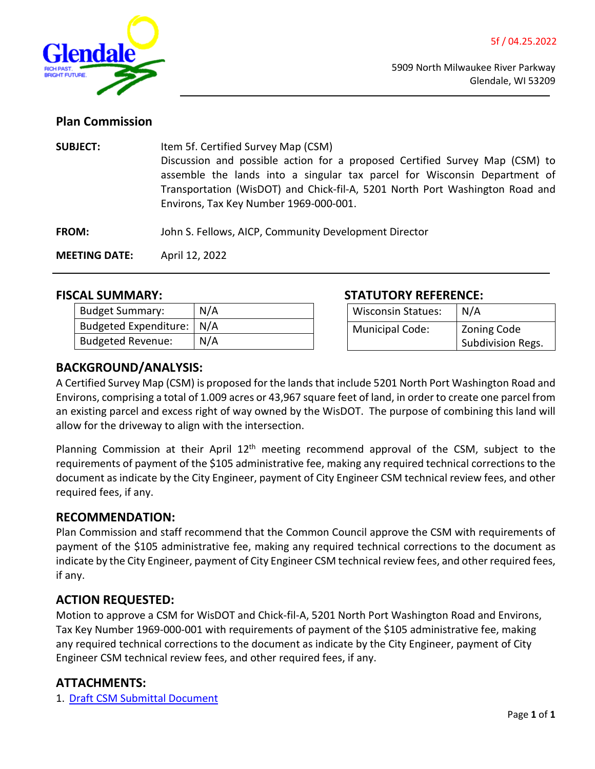<span id="page-11-0"></span>

# **Plan Commission**

| <b>SUBJECT:</b>      | Item 5f. Certified Survey Map (CSM)<br>Discussion and possible action for a proposed Certified Survey Map (CSM) to<br>assemble the lands into a singular tax parcel for Wisconsin Department of<br>Transportation (WisDOT) and Chick-fil-A, 5201 North Port Washington Road and<br>Environs, Tax Key Number 1969-000-001. |  |
|----------------------|---------------------------------------------------------------------------------------------------------------------------------------------------------------------------------------------------------------------------------------------------------------------------------------------------------------------------|--|
| <b>FROM:</b>         | John S. Fellows, AICP, Community Development Director                                                                                                                                                                                                                                                                     |  |
| <b>MEETING DATE:</b> | April 12, 2022                                                                                                                                                                                                                                                                                                            |  |

| <b>Budget Summary:</b>      | N/A |
|-----------------------------|-----|
| Budgeted Expenditure:   N/A |     |
| <b>Budgeted Revenue:</b>    | N/A |

# **FISCAL SUMMARY: STATUTORY REFERENCE:**

| <b>Wisconsin Statues:</b> | N/A                |
|---------------------------|--------------------|
| Municipal Code:           | <b>Zoning Code</b> |
|                           | Subdivision Regs.  |

# **BACKGROUND/ANALYSIS:**

A Certified Survey Map (CSM) is proposed for the lands that include 5201 North Port Washington Road and Environs, comprising a total of 1.009 acres or 43,967 square feet of land, in order to create one parcel from an existing parcel and excess right of way owned by the WisDOT. The purpose of combining this land will allow for the driveway to align with the intersection.

Planning Commission at their April  $12<sup>th</sup>$  meeting recommend approval of the CSM, subject to the requirements of payment of the \$105 administrative fee, making any required technical corrections to the document as indicate by the City Engineer, payment of City Engineer CSM technical review fees, and other required fees, if any.

# **RECOMMENDATION:**

Plan Commission and staff recommend that the Common Council approve the CSM with requirements of payment of the \$105 administrative fee, making any required technical corrections to the document as indicate by the City Engineer, payment of City Engineer CSM technical review fees, and other required fees, if any.

# **ACTION REQUESTED:**

Motion to approve a CSM for WisDOT and Chick-fil-A, 5201 North Port Washington Road and Environs, Tax Key Number 1969-000-001 with requirements of payment of the \$105 administrative fee, making any required technical corrections to the document as indicate by the City Engineer, payment of City Engineer CSM technical review fees, and other required fees, if any.

# **ATTACHMENTS:**

1. [Draft CSM](https://www.glendale-wi.org/DocumentCenter/View/2566/5e-Attachments---Maps---DRAFT-CSM---Eng-Review-Letter) [Submittal Document](https://www.glendale-wi.org/DocumentCenter/View/2566/5e-Attachments---Maps---DRAFT-CSM---Eng-Review-Letter)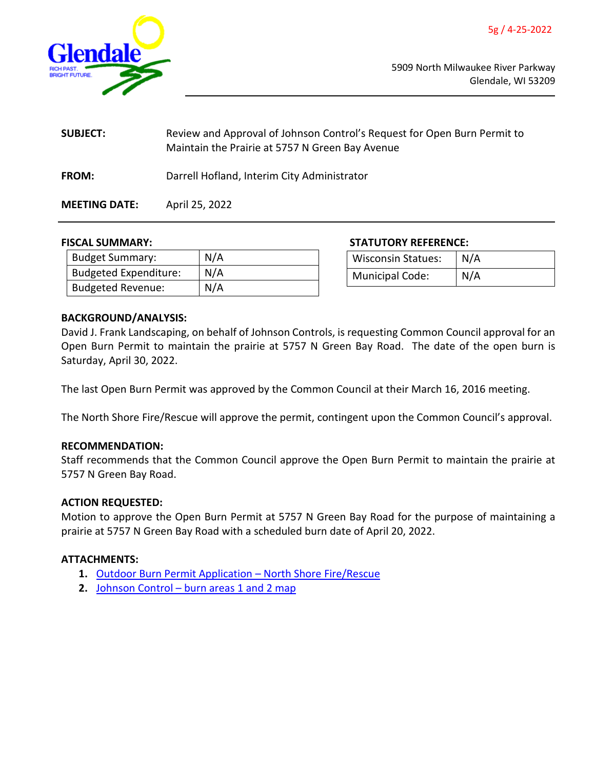<span id="page-12-0"></span>

| <b>SUBJECT:</b>      | Review and Approval of Johnson Control's Request for Open Burn Permit to<br>Maintain the Prairie at 5757 N Green Bay Avenue |
|----------------------|-----------------------------------------------------------------------------------------------------------------------------|
| <b>FROM:</b>         | Darrell Hofland, Interim City Administrator                                                                                 |
| <b>MEETING DATE:</b> | April 25, 2022                                                                                                              |

| <b>Budget Summary:</b>       | N/A |
|------------------------------|-----|
| <b>Budgeted Expenditure:</b> | N/A |
| <b>Budgeted Revenue:</b>     | N/A |

**FISCAL SUMMARY: STATUTORY REFERENCE:**

| <b>Wisconsin Statues:</b> | $\mid N/A$ |
|---------------------------|------------|
| <b>Municipal Code:</b>    | N/A        |

# **BACKGROUND/ANALYSIS:**

David J. Frank Landscaping, on behalf of Johnson Controls, is requesting Common Council approval for an Open Burn Permit to maintain the prairie at 5757 N Green Bay Road. The date of the open burn is Saturday, April 30, 2022.

The last Open Burn Permit was approved by the Common Council at their March 16, 2016 meeting.

The North Shore Fire/Rescue will approve the permit, contingent upon the Common Council's approval.

# **RECOMMENDATION:**

Staff recommends that the Common Council approve the Open Burn Permit to maintain the prairie at 5757 N Green Bay Road.

# **ACTION REQUESTED:**

Motion to approve the Open Burn Permit at 5757 N Green Bay Road for the purpose of maintaining a prairie at 5757 N Green Bay Road with a scheduled burn date of April 20, 2022.

# **ATTACHMENTS:**

- **1.** Outdoor [Burn Permit Application North Shore Fire/Rescue](https://www.glendale-wi.org/DocumentCenter/View/2577/Outdoor-Burns-Permit-Application---North-Shore-Fire-Rescue)
- **2.** [Johnson Control burn areas 1 and 2 map](https://www.glendale-wi.org/DocumentCenter/View/2574/Johnson-Control---burn-areas-1-and-2-map)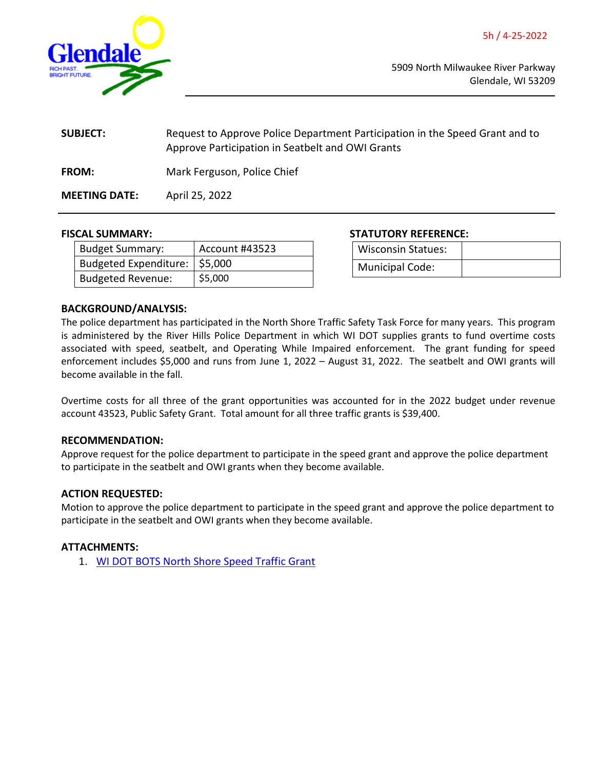<span id="page-13-0"></span>

| <b>SUBJECT:</b>      | Request to Approve Police Department Participation in the Speed Grant and to<br>Approve Participation in Seatbelt and OWI Grants |
|----------------------|----------------------------------------------------------------------------------------------------------------------------------|
| <b>FROM:</b>         | Mark Ferguson, Police Chief                                                                                                      |
| <b>MEETING DATE:</b> | April 25, 2022                                                                                                                   |

| <b>Budget Summary:</b>          | Account #43523 |
|---------------------------------|----------------|
| Budgeted Expenditure:   \$5,000 |                |
| <b>Budgeted Revenue:</b>        | \$5,000        |

**FISCAL SUMMARY: STATUTORY REFERENCE:**

| Wisconsin Statues:     |  |
|------------------------|--|
| <b>Municipal Code:</b> |  |

# **BACKGROUND/ANALYSIS:**

The police department has participated in the North Shore Traffic Safety Task Force for many years. This program is administered by the River Hills Police Department in which WI DOT supplies grants to fund overtime costs associated with speed, seatbelt, and Operating While Impaired enforcement. The grant funding for speed enforcement includes \$5,000 and runs from June 1, 2022 – August 31, 2022. The seatbelt and OWI grants will become available in the fall.

Overtime costs for all three of the grant opportunities was accounted for in the 2022 budget under revenue account 43523, Public Safety Grant. Total amount for all three traffic grants is \$39,400.

# **RECOMMENDATION:**

Approve request for the police department to participate in the speed grant and approve the police department to participate in the seatbelt and OWI grants when they become available.

# **ACTION REQUESTED:**

Motion to approve the police department to participate in the speed grant and approve the police department to participate in the seatbelt and OWI grants when they become available.

# **ATTACHMENTS:**

1. [WI DOT BOTS North Shore Speed Traffic Grant](https://www.glendale-wi.org/DocumentCenter/View/2582/WI-DOT-BOTS-Speed-Enforcement-grant)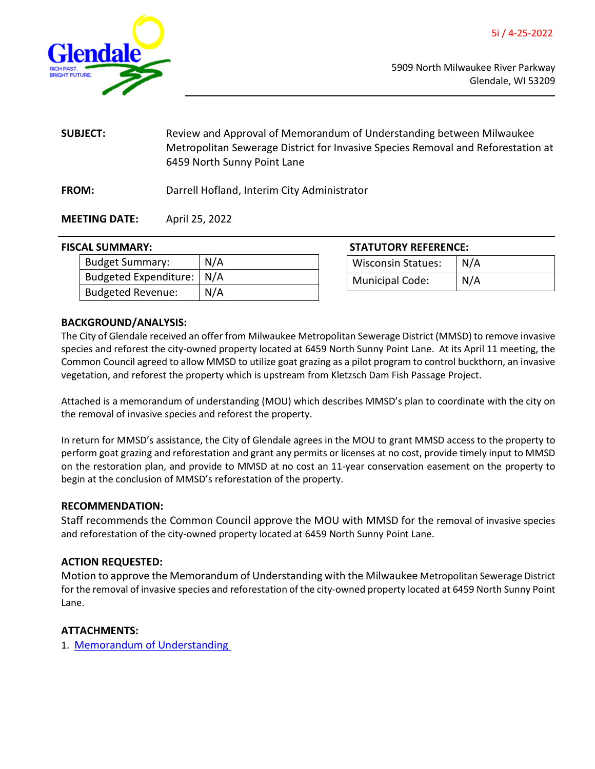<span id="page-14-0"></span>

- **SUBJECT:** Review and Approval of Memorandum of Understanding between Milwaukee Metropolitan Sewerage District for Invasive Species Removal and Reforestation at 6459 North Sunny Point Lane
- **FROM:** Darrell Hofland, Interim City Administrator

# **MEETING DATE:** April 25, 2022

# **FISCAL SUMMARY:**

| <b>Budget Summary:</b>      | N/A |  |
|-----------------------------|-----|--|
| Budgeted Expenditure:   N/A |     |  |
| <b>Budgeted Revenue:</b>    | N/A |  |

| <b>STATUTORY REFERENCE:</b> |       |  |
|-----------------------------|-------|--|
| Wisconsin Statues:          | l N/A |  |
| Municipal Code:             | N/A   |  |

# **BACKGROUND/ANALYSIS:**

The City of Glendale received an offer from Milwaukee Metropolitan Sewerage District (MMSD) to remove invasive species and reforest the city-owned property located at 6459 North Sunny Point Lane. At its April 11 meeting, the Common Council agreed to allow MMSD to utilize goat grazing as a pilot program to control buckthorn, an invasive vegetation, and reforest the property which is upstream from Kletzsch Dam Fish Passage Project.

Attached is a memorandum of understanding (MOU) which describes MMSD's plan to coordinate with the city on the removal of invasive species and reforest the property.

In return for MMSD's assistance, the City of Glendale agrees in the MOU to grant MMSD access to the property to perform goat grazing and reforestation and grant any permits or licenses at no cost, provide timely input to MMSD on the restoration plan, and provide to MMSD at no cost an 11-year conservation easement on the property to begin at the conclusion of MMSD's reforestation of the property.

# **RECOMMENDATION:**

Staff recommends the Common Council approve the MOU with MMSD for the removal of invasive species and reforestation of the city-owned property located at 6459 North Sunny Point Lane.

# **ACTION REQUESTED:**

Motion to approve the Memorandum of Understanding with the Milwaukee Metropolitan Sewerage District for the removal of invasive species and reforestation of the city-owned property located at 6459 North Sunny Point Lane.

# **ATTACHMENTS:**

1. [Memorandum of Understanding](https://www.glendale-wi.org/DocumentCenter/View/2576/MOU---MMSD-and-Glendale---6459-N-Sunny-Point-Lane)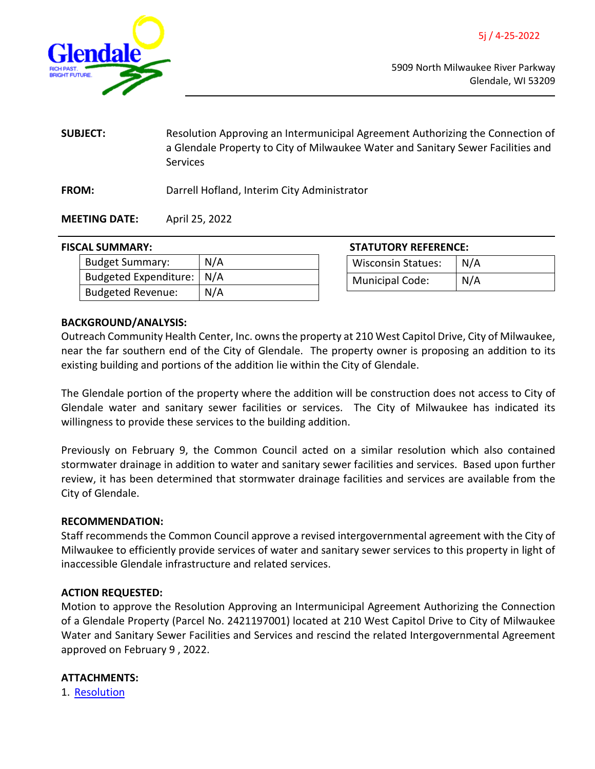<span id="page-15-0"></span>

**SUBJECT:** Resolution Approving an Intermunicipal Agreement Authorizing the Connection of a Glendale Property to City of Milwaukee Water and Sanitary Sewer Facilities and **Services** 

**FROM:** Darrell Hofland, Interim City Administrator

**MEETING DATE:** April 25, 2022

# **FISCAL SUMMARY:**

| <b>Budget Summary:</b>      | N/A |
|-----------------------------|-----|
| Budgeted Expenditure:   N/A |     |
| <b>Budgeted Revenue:</b>    | N/A |

| <b>STATUTORY REFERENCE:</b> |     |  |
|-----------------------------|-----|--|
| <b>Wisconsin Statues:</b>   | N/A |  |
| Municipal Code:             | N/A |  |

# **BACKGROUND/ANALYSIS:**

Outreach Community Health Center, Inc. owns the property at 210 West Capitol Drive, City of Milwaukee, near the far southern end of the City of Glendale. The property owner is proposing an addition to its existing building and portions of the addition lie within the City of Glendale.

The Glendale portion of the property where the addition will be construction does not access to City of Glendale water and sanitary sewer facilities or services. The City of Milwaukee has indicated its willingness to provide these services to the building addition.

Previously on February 9, the Common Council acted on a similar resolution which also contained stormwater drainage in addition to water and sanitary sewer facilities and services. Based upon further review, it has been determined that stormwater drainage facilities and services are available from the City of Glendale.

# **RECOMMENDATION:**

Staff recommends the Common Council approve a revised intergovernmental agreement with the City of Milwaukee to efficiently provide services of water and sanitary sewer services to this property in light of inaccessible Glendale infrastructure and related services.

# **ACTION REQUESTED:**

Motion to approve the Resolution Approving an Intermunicipal Agreement Authorizing the Connection of a Glendale Property (Parcel No. 2421197001) located at 210 West Capitol Drive to City of Milwaukee Water and Sanitary Sewer Facilities and Services and rescind the related Intergovernmental Agreement approved on February 9 , 2022.

# **ATTACHMENTS:**

1. [Resolution](https://www.glendale-wi.org/DocumentCenter/View/2580/Resolution-for-Outreach-Community-Health-Sewer-and-Water-with-Milwaukee)